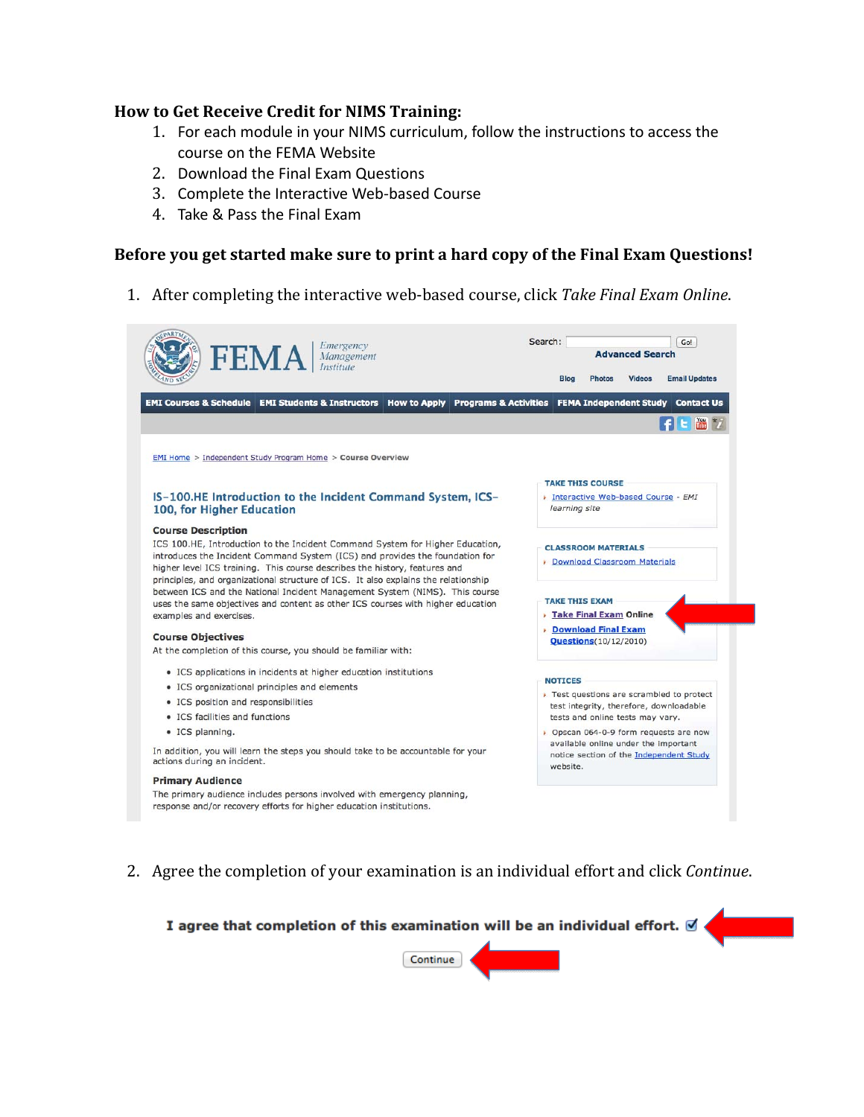## **How to Get Receive Credit for NIMS Training:**

- 1. For each module in your NIMS curriculum, follow the instructions to access the course on the FEMA Website
- 2. Download the Final Exam Questions
- 3. Complete the Interactive Web‐based Course
- 4. Take & Pass the Final Exam

## **Before you get started make sure to print a hard copy of the Final Exam Questions!**

1. After completing the interactive web‐based course, click *Take Final Exam Online*.

| <b>FEMA</b><br>Management                                                                                                                                                                                                                                                                                                         | <b>Advanced Search</b>                                                                                                   |  |
|-----------------------------------------------------------------------------------------------------------------------------------------------------------------------------------------------------------------------------------------------------------------------------------------------------------------------------------|--------------------------------------------------------------------------------------------------------------------------|--|
|                                                                                                                                                                                                                                                                                                                                   | <b>Videos</b><br><b>Email Updates</b><br><b>Blog</b><br><b>Photos</b>                                                    |  |
| <b>EMI Courses &amp; Schedule EMI Students &amp; Instructors</b><br>How to Apply Programs & Activities                                                                                                                                                                                                                            | FEMA Independent Study Contact Us                                                                                        |  |
|                                                                                                                                                                                                                                                                                                                                   |                                                                                                                          |  |
| EMI Home > Independent Study Program Home > Course Overview                                                                                                                                                                                                                                                                       |                                                                                                                          |  |
|                                                                                                                                                                                                                                                                                                                                   | <b>TAKE THIS COURSE</b>                                                                                                  |  |
| IS-100.HE Introduction to the Incident Command System, ICS-<br>100, for Higher Education                                                                                                                                                                                                                                          | > Interactive Web-based Course - EMI<br>learning site                                                                    |  |
| <b>Course Description</b>                                                                                                                                                                                                                                                                                                         |                                                                                                                          |  |
| ICS 100.HE, Introduction to the Incident Command System for Higher Education,<br>introduces the Incident Command System (ICS) and provides the foundation for<br>higher level ICS training. This course describes the history, features and<br>principles, and organizational structure of ICS. It also explains the relationship | <b>CLASSROOM MATERIALS</b><br>Download Classroom Materials                                                               |  |
| between ICS and the National Incident Management System (NIMS). This course                                                                                                                                                                                                                                                       | <b>TAKE THIS EXAM</b>                                                                                                    |  |
| uses the same objectives and content as other ICS courses with higher education<br>examples and exercises.                                                                                                                                                                                                                        | <b>Take Final Exam Online</b>                                                                                            |  |
|                                                                                                                                                                                                                                                                                                                                   | <b>Download Final Exam</b>                                                                                               |  |
| <b>Course Objectives</b><br>At the completion of this course, you should be familiar with:                                                                                                                                                                                                                                        | Questions(10/12/2010)                                                                                                    |  |
| • ICS applications in incidents at higher education institutions                                                                                                                                                                                                                                                                  |                                                                                                                          |  |
| • ICS organizational principles and elements                                                                                                                                                                                                                                                                                      | <b>NOTICES</b>                                                                                                           |  |
| • ICS position and responsibilities                                                                                                                                                                                                                                                                                               | > Test questions are scrambled to protect<br>test integrity, therefore, downloadable<br>tests and online tests may vary. |  |
| • ICS facilities and functions                                                                                                                                                                                                                                                                                                    |                                                                                                                          |  |
| • ICS planning.                                                                                                                                                                                                                                                                                                                   | ▶ Opscan 064-0-9 form requests are now                                                                                   |  |
| In addition, you will learn the steps you should take to be accountable for your<br>actions during an incident.                                                                                                                                                                                                                   | available online under the important<br>notice section of the Independent Study<br>website.                              |  |
| <b>Primary Audience</b>                                                                                                                                                                                                                                                                                                           |                                                                                                                          |  |
|                                                                                                                                                                                                                                                                                                                                   |                                                                                                                          |  |

2. Agree the completion of your examination is an individual effort and click *Continue*.

I agree that completion of this examination will be an individual effort. Ø

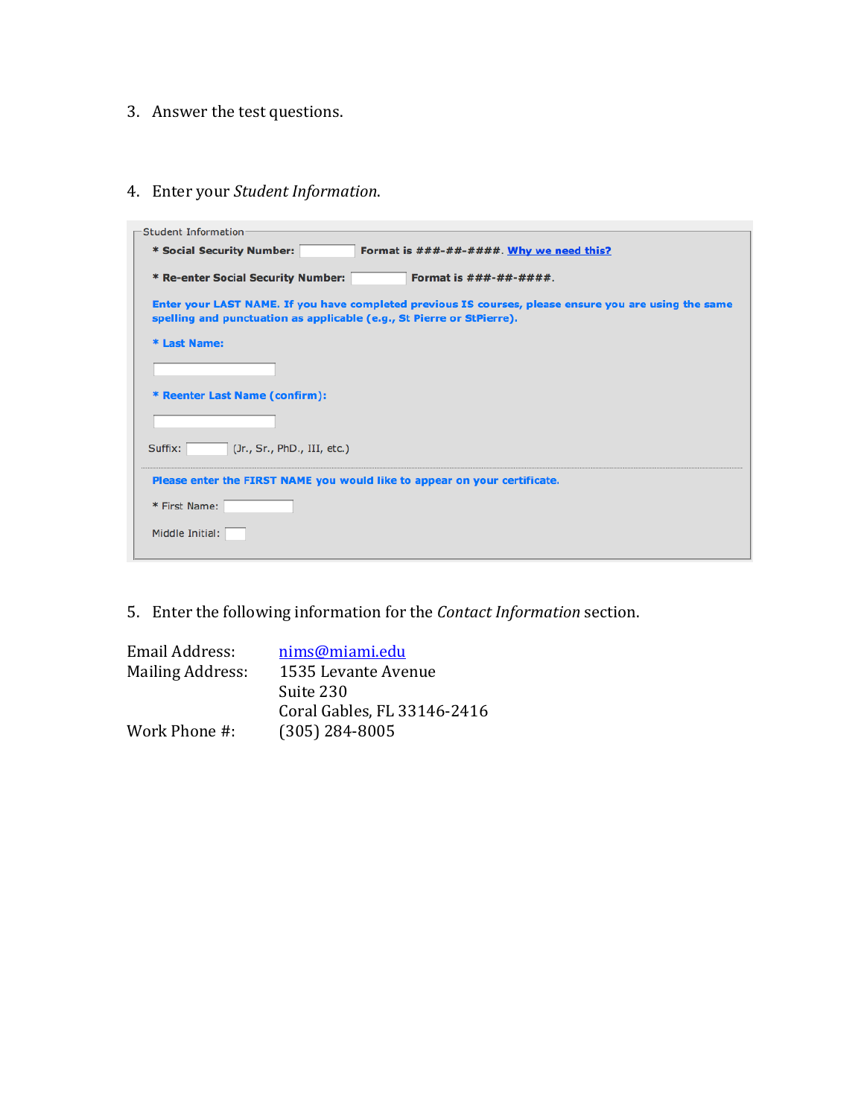- 3. Answer the test questions.
- 4. Enter your *Student Information*.

| Student Information                                                                                   |  |  |  |  |
|-------------------------------------------------------------------------------------------------------|--|--|--|--|
|                                                                                                       |  |  |  |  |
| * Social Security Number:<br>Format is $\# \# \# \# \# \# \# \# \#$ . Why we need this?               |  |  |  |  |
|                                                                                                       |  |  |  |  |
| * Re-enter Social Security Number:<br>Format is $###########$ .                                       |  |  |  |  |
|                                                                                                       |  |  |  |  |
| Enter your LAST NAME. If you have completed previous IS courses, please ensure you are using the same |  |  |  |  |
| spelling and punctuation as applicable (e.g., St Pierre or StPierre).                                 |  |  |  |  |
|                                                                                                       |  |  |  |  |
| * Last Name:                                                                                          |  |  |  |  |
|                                                                                                       |  |  |  |  |
|                                                                                                       |  |  |  |  |
|                                                                                                       |  |  |  |  |
| * Reenter Last Name (confirm):                                                                        |  |  |  |  |
|                                                                                                       |  |  |  |  |
|                                                                                                       |  |  |  |  |
|                                                                                                       |  |  |  |  |
| (Jr., Sr., PhD., III, etc.)<br>Suffix:                                                                |  |  |  |  |
|                                                                                                       |  |  |  |  |
|                                                                                                       |  |  |  |  |
| Please enter the FIRST NAME you would like to appear on your certificate.                             |  |  |  |  |
|                                                                                                       |  |  |  |  |
| * First Name:                                                                                         |  |  |  |  |
|                                                                                                       |  |  |  |  |
| Middle Initial:                                                                                       |  |  |  |  |
|                                                                                                       |  |  |  |  |
|                                                                                                       |  |  |  |  |

5. Enter the following information for the *Contact Information* section.

| Email Address:   | nims@miami.edu              |
|------------------|-----------------------------|
| Mailing Address: | 1535 Levante Avenue         |
|                  | Suite 230                   |
|                  | Coral Gables, FL 33146-2416 |
| Work Phone #:    | $(305)$ 284-8005            |